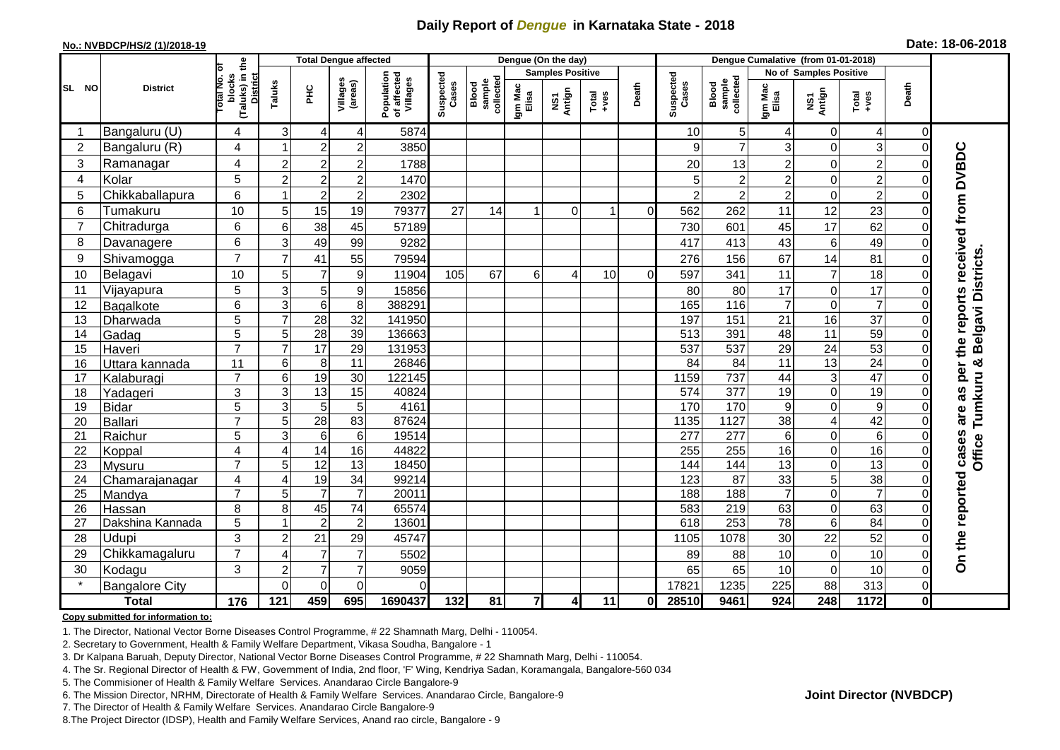## **Daily Report of** *Dengue* **in Karnataka State - 2018**

#### **No.: NVBDCP/HS/2 (1)/2018-19**

|  |  | Date: 18-06-2018 |
|--|--|------------------|
|--|--|------------------|

|                |                       |                |                                                    | <b>Total Dengue affected</b> |                 |                     | Dengue (On the day)                   |                    |                              |                         |               |                                                              |              | Dengue Cumalative (from 01-01-2018) |                              |                        |                  |                |                             |  |
|----------------|-----------------------|----------------|----------------------------------------------------|------------------------------|-----------------|---------------------|---------------------------------------|--------------------|------------------------------|-------------------------|---------------|--------------------------------------------------------------|--------------|-------------------------------------|------------------------------|------------------------|------------------|----------------|-----------------------------|--|
|                |                       | ō              |                                                    |                              |                 |                     |                                       |                    |                              | <b>Samples Positive</b> |               |                                                              |              |                                     |                              | No of Samples Positive |                  |                |                             |  |
| SL NO          | <b>District</b>       |                | (Taluks) in the<br>District<br>Total No.<br>blocks | Taluks                       | <b>PHC</b>      | Villages<br>(areas) | Population<br>of affected<br>Villages | Suspected<br>Cases | sample<br>collected<br>Blood | Igm Mac<br>Elisa        | NS1<br>Antign | $\begin{array}{c}\n\text{Total} \\ \text{+ves}\n\end{array}$ | Death        | Suspected<br>Cases                  | collected<br>sample<br>Blood | Igm Mac<br>Elisa       | NS1<br>Antign    | Total<br>+ves  | Death                       |  |
| -1             | Bangaluru (U)         | 4              | 3                                                  | 4                            | 4               | 5874                |                                       |                    |                              |                         |               |                                                              | 10           | 5 <sub>5</sub>                      | 4                            | $\mathbf 0$            | $\overline{4}$   | $\Omega$       |                             |  |
| $\overline{2}$ | Bangaluru (R)         | 4              |                                                    | $\overline{2}$               | $\overline{c}$  | 3850                |                                       |                    |                              |                         |               |                                                              | $\mathbf{Q}$ | $\overline{7}$                      | 3                            | $\Omega$               | 3                | $\Omega$       |                             |  |
| 3              | Ramanagar             | 4              | $\overline{2}$                                     | $\overline{\mathbf{c}}$      | $\overline{c}$  | 1788                |                                       |                    |                              |                         |               |                                                              | 20           | 13                                  | $\overline{c}$               | $\mathbf 0$            | $\overline{c}$   |                | reports received from DVBDC |  |
| $\overline{4}$ | Kolar                 | 5              | $\overline{2}$                                     | $\overline{2}$               | $\overline{c}$  | 1470                |                                       |                    |                              |                         |               |                                                              |              | $\overline{c}$                      | $\overline{2}$               | $\mathbf 0$            | $\overline{2}$   | 0              |                             |  |
| 5              | Chikkaballapura       | 6              | -1                                                 | $\boldsymbol{2}$             | $\overline{c}$  | 2302                |                                       |                    |                              |                         |               |                                                              |              | $\overline{c}$                      | $\overline{c}$               | 0                      | $\overline{c}$   | 0              |                             |  |
| 6              | Tumakuru              | 10             | 5                                                  | 15                           | 19              | 79377               | 27                                    | 14                 |                              | $\Omega$                |               | $\Omega$                                                     | 562          | 262                                 | 11                           | 12                     | 23               |                |                             |  |
| $\overline{7}$ | Chitradurga           | 6              | $6\phantom{1}6$                                    | 38                           | 45              | 57189               |                                       |                    |                              |                         |               |                                                              | 730          | 601                                 | 45                           | 17                     | 62               | O              |                             |  |
| 8              | Davanagere            | 6              | 3                                                  | 49                           | 99              | 9282                |                                       |                    |                              |                         |               |                                                              | 417          | 413                                 | 43                           | $\,6$                  | 49               | 0              |                             |  |
| 9              | Shivamogga            | $\overline{7}$ | $\overline{7}$                                     | 41                           | 55              | 79594               |                                       |                    |                              |                         |               |                                                              | 276          | 156                                 | 67                           | 14                     | 81               | $\Omega$       | Belgavi Districts           |  |
| 10             | Belagavi              | 10             | 5                                                  | $\overline{7}$               | 9               | 11904               | 105                                   | 67                 | 6                            | 4                       | 10            | $\Omega$                                                     | 597          | 341                                 | 11                           | $\overline{7}$         | 18               | 0              |                             |  |
| 11             | Vijayapura            | 5              | 3                                                  | 5                            | 9               | 15856               |                                       |                    |                              |                         |               |                                                              | 80           | 80                                  | 17                           | $\mathbf 0$            | 17               | 0              |                             |  |
| 12             | Bagalkote             | 6              | 3                                                  | $\overline{6}$               | 8               | 388291              |                                       |                    |                              |                         |               |                                                              | 165          | 116                                 | $\overline{7}$               | $\overline{0}$         | $\overline{7}$   | $\Omega$       |                             |  |
| 13             | Dharwada              | $\overline{5}$ | $\overline{7}$                                     | 28                           | 32              | 141950              |                                       |                    |                              |                         |               |                                                              | 197          | 151                                 | 21                           | 16                     | $\overline{37}$  |                |                             |  |
| 14             | Gadag                 | 5              | 5                                                  | 28                           | 39              | 136663              |                                       |                    |                              |                         |               |                                                              | 513          | 391                                 | 48                           | $\overline{11}$        | $\overline{59}$  | $\Omega$       |                             |  |
| 15             | Haveri                | $\overline{7}$ | $\overline{7}$                                     | $\overline{17}$              | 29              | 131953              |                                       |                    |                              |                         |               |                                                              | 537          | 537                                 | 29                           | $\overline{24}$        | 53               | $\Omega$       |                             |  |
| 16             | Uttara kannada        | 11             | 6                                                  | 8                            | 11              | 26846               |                                       |                    |                              |                         |               |                                                              | 84           | 84                                  | 11                           | 13                     | $\overline{24}$  | $\Omega$       | per the<br>×                |  |
| 17             | Kalaburagi            | $\overline{7}$ | $6\phantom{1}6$                                    | 19                           | 30              | 122145              |                                       |                    |                              |                         |               |                                                              | 1159         | 737                                 | 44                           | 3                      | 47               |                |                             |  |
| 18             | Yadageri              | 3              | 3                                                  | $\overline{13}$              | 15              | 40824               |                                       |                    |                              |                         |               |                                                              | 574          | 377                                 | 19                           | $\mathbf 0$            | 19               |                | as                          |  |
| 19             | <b>Bidar</b>          | 5              | 3                                                  | 5                            | 5               | 4161                |                                       |                    |                              |                         |               |                                                              | 170          | 170                                 | 9                            | $\boldsymbol{0}$       | $\boldsymbol{9}$ |                |                             |  |
| 20             | <b>Ballari</b>        | $\overline{7}$ | 5                                                  | 28                           | 83              | 87624               |                                       |                    |                              |                         |               |                                                              | 1135         | 1127                                | 38                           | 4                      | 42               | $\Omega$       | Tumkuru<br>are              |  |
| 21             | Raichur               | 5              | 3                                                  | $\,6$                        | 6               | 19514               |                                       |                    |                              |                         |               |                                                              | 277          | $\overline{277}$                    | 6                            | $\overline{0}$         | 6                | $\Omega$       | Office                      |  |
| 22             | Koppal                | 4              | 4                                                  | 14                           | 16              | 44822               |                                       |                    |                              |                         |               |                                                              | 255          | 255                                 | 16                           | $\Omega$               | 16               | $\Omega$       |                             |  |
| 23             | Mysuru                | $\overline{7}$ | 5                                                  | 12                           | 13              | 18450               |                                       |                    |                              |                         |               |                                                              | 144          | 144                                 | $\overline{13}$              | $\mathbf 0$            | 13               | $\Omega$       |                             |  |
| 24             | Chamarajanagar        | $\overline{4}$ | 4                                                  | 19                           | $\overline{34}$ | 99214               |                                       |                    |                              |                         |               |                                                              | 123          | $\overline{87}$                     | 33                           | $\overline{5}$         | 38               | $\Omega$       |                             |  |
| 25             | Mandya                | $\overline{7}$ | 5                                                  | $\overline{7}$               | $\overline{7}$  | 20011               |                                       |                    |                              |                         |               |                                                              | 188          | 188                                 | $\overline{7}$               | $\mathbf 0$            | $\overline{7}$   | $\Omega$       |                             |  |
| 26             | Hassan                | 8              | 8                                                  | 45                           | $\overline{74}$ | 65574               |                                       |                    |                              |                         |               |                                                              | 583          | 219                                 | 63                           | $\mathbf 0$            | 63               | $\Omega$       |                             |  |
| 27             | Dakshina Kannada      | 5              | -1                                                 | $\overline{2}$               | $\overline{c}$  | 13601               |                                       |                    |                              |                         |               |                                                              | 618          | 253                                 | $\overline{78}$              | 6                      | $\overline{84}$  | 0              |                             |  |
| 28             | Udupi                 | 3              | $\overline{c}$                                     | 21                           | 29              | 45747               |                                       |                    |                              |                         |               |                                                              | 1105         | 1078                                | 30                           | 22                     | 52               | $\Omega$       |                             |  |
| 29             | Chikkamagaluru        | $\overline{7}$ | $\overline{4}$                                     | $\overline{7}$               | $\overline{7}$  | 5502                |                                       |                    |                              |                         |               |                                                              | 89           | 88                                  | 10                           | $\boldsymbol{0}$       | 10               | 0              | On the reported cases       |  |
| 30             | Kodagu                | 3              | $\overline{2}$                                     | $\overline{7}$               | $\overline{7}$  | 9059                |                                       |                    |                              |                         |               |                                                              | 65           | 65                                  | 10                           | $\mathbf 0$            | 10               | $\Omega$       |                             |  |
|                | <b>Bangalore City</b> |                | $\Omega$                                           | $\overline{0}$               | $\mathbf 0$     | $\Omega$            |                                       |                    |                              |                         |               |                                                              | 17821        | 1235                                | 225                          | $\overline{88}$        | 313              | $\overline{0}$ |                             |  |
|                | <b>Total</b>          | 176            | 121                                                | 459                          | 695             | 1690437             | 132                                   | 81                 | $\overline{7}$               | 4                       | 11            | ΟI                                                           | 28510        | 9461                                | 924                          | 248                    | 1172             | $\mathbf{0}$   |                             |  |

#### **Copy submitted for information to:**

1. The Director, National Vector Borne Diseases Control Programme, # 22 Shamnath Marg, Delhi - 110054.

2. Secretary to Government, Health & Family Welfare Department, Vikasa Soudha, Bangalore - 1

3. Dr Kalpana Baruah, Deputy Director, National Vector Borne Diseases Control Programme, # 22 Shamnath Marg, Delhi - 110054.

4. The Sr. Regional Director of Health & FW, Government of India, 2nd floor, 'F' Wing, Kendriya Sadan, Koramangala, Bangalore-560 034

5. The Commisioner of Health & Family Welfare Services. Anandarao Circle Bangalore-9

6. The Mission Director, NRHM, Directorate of Health & Family Welfare Services. Anandarao Circle, Bangalore-9

7. The Director of Health & Family Welfare Services. Anandarao Circle Bangalore-9

8.The Project Director (IDSP), Health and Family Welfare Services, Anand rao circle, Bangalore - 9